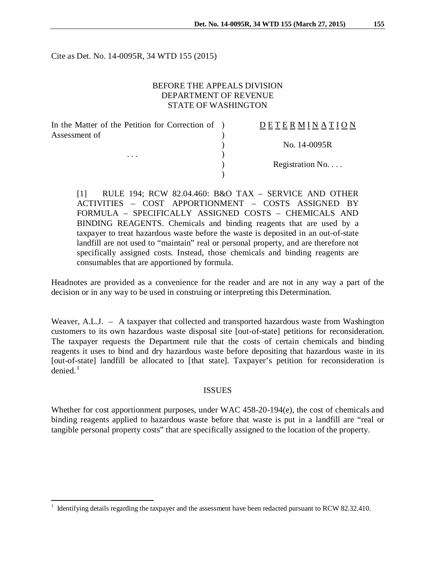Cite as Det. No. 14-0095R, 34 WTD 155 (2015)

# BEFORE THE APPEALS DIVISION DEPARTMENT OF REVENUE STATE OF WASHINGTON

| In the Matter of the Petition for Correction of ) | DETERMINATION            |
|---------------------------------------------------|--------------------------|
| Assessment of<br>$\cdots$                         |                          |
|                                                   | No. 14-0095R             |
|                                                   |                          |
|                                                   | Registration No. $\dots$ |
|                                                   |                          |

[1] RULE 194; RCW 82.04.460: B&O TAX – SERVICE AND OTHER ACTIVITIES – COST APPORTIONMENT – COSTS ASSIGNED BY FORMULA – SPECIFICALLY ASSIGNED COSTS – CHEMICALS AND BINDING REAGENTS. Chemicals and binding reagents that are used by a taxpayer to treat hazardous waste before the waste is deposited in an out-of-state landfill are not used to "maintain" real or personal property, and are therefore not specifically assigned costs. Instead, those chemicals and binding reagents are consumables that are apportioned by formula.

Headnotes are provided as a convenience for the reader and are not in any way a part of the decision or in any way to be used in construing or interpreting this Determination.

Weaver, A.L.J. – A taxpayer that collected and transported hazardous waste from Washington customers to its own hazardous waste disposal site [out-of-state] petitions for reconsideration. The taxpayer requests the Department rule that the costs of certain chemicals and binding reagents it uses to bind and dry hazardous waste before depositing that hazardous waste in its [out-of-state] landfill be allocated to [that state]. Taxpayer's petition for reconsideration is  $denied<sup>1</sup>$  $denied<sup>1</sup>$  $denied<sup>1</sup>$ 

#### ISSUES

Whether for cost apportionment purposes, under WAC 458-20-194(e), the cost of chemicals and binding reagents applied to hazardous waste before that waste is put in a landfill are "real or tangible personal property costs" that are specifically assigned to the location of the property.

 $\overline{a}$ 

<span id="page-0-0"></span><sup>1</sup> Identifying details regarding the taxpayer and the assessment have been redacted pursuant to RCW 82.32.410.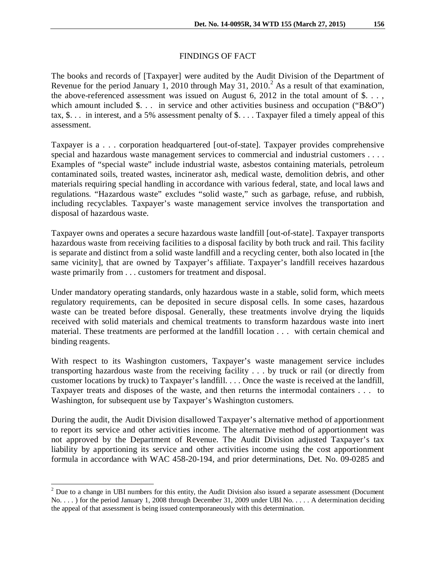## FINDINGS OF FACT

The books and records of [Taxpayer] were audited by the Audit Division of the Department of Revenue for the period January 1, [2](#page-1-0)010 through May 31, 2010.<sup>2</sup> As a result of that examination, the above-referenced assessment was issued on August 6, 2012 in the total amount of  $\$ ... which amount included \$... in service and other activities business and occupation ("B&O") tax, \$. . . in interest, and a 5% assessment penalty of \$. . . . Taxpayer filed a timely appeal of this assessment.

Taxpayer is a . . . corporation headquartered [out-of-state]. Taxpayer provides comprehensive special and hazardous waste management services to commercial and industrial customers . . . . Examples of "special waste" include industrial waste, asbestos containing materials, petroleum contaminated soils, treated wastes, incinerator ash, medical waste, demolition debris, and other materials requiring special handling in accordance with various federal, state, and local laws and regulations. "Hazardous waste" excludes "solid waste," such as garbage, refuse, and rubbish, including recyclables. Taxpayer's waste management service involves the transportation and disposal of hazardous waste.

Taxpayer owns and operates a secure hazardous waste landfill [out-of-state]. Taxpayer transports hazardous waste from receiving facilities to a disposal facility by both truck and rail. This facility is separate and distinct from a solid waste landfill and a recycling center, both also located in [the same vicinity], that are owned by Taxpayer's affiliate. Taxpayer's landfill receives hazardous waste primarily from . . . customers for treatment and disposal.

Under mandatory operating standards, only hazardous waste in a stable, solid form, which meets regulatory requirements, can be deposited in secure disposal cells. In some cases, hazardous waste can be treated before disposal. Generally, these treatments involve drying the liquids received with solid materials and chemical treatments to transform hazardous waste into inert material. These treatments are performed at the landfill location . . . with certain chemical and binding reagents.

With respect to its Washington customers, Taxpayer's waste management service includes transporting hazardous waste from the receiving facility . . . by truck or rail (or directly from customer locations by truck) to Taxpayer's landfill. . . . Once the waste is received at the landfill, Taxpayer treats and disposes of the waste, and then returns the intermodal containers . . . to Washington, for subsequent use by Taxpayer's Washington customers.

During the audit, the Audit Division disallowed Taxpayer's alternative method of apportionment to report its service and other activities income. The alternative method of apportionment was not approved by the Department of Revenue. The Audit Division adjusted Taxpayer's tax liability by apportioning its service and other activities income using the cost apportionment formula in accordance with WAC 458-20-194, and prior determinations, Det. No. 09-0285 and

<span id="page-1-0"></span> $2^{2}$  Due to a change in UBI numbers for this entity, the Audit Division also issued a separate assessment (Document No. . . . ) for the period January 1, 2008 through December 31, 2009 under UBI No. . . . . A determination deciding the appeal of that assessment is being issued contemporaneously with this determination.  $\overline{\phantom{a}}$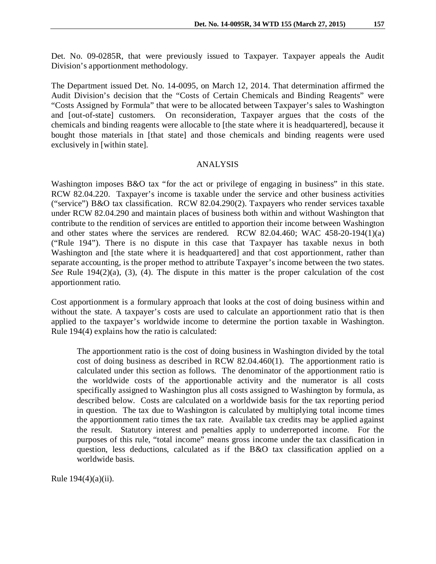Det. No. 09-0285R, that were previously issued to Taxpayer. Taxpayer appeals the Audit Division's apportionment methodology.

The Department issued Det. No. 14-0095, on March 12, 2014. That determination affirmed the Audit Division's decision that the "Costs of Certain Chemicals and Binding Reagents" were "Costs Assigned by Formula" that were to be allocated between Taxpayer's sales to Washington and [out-of-state] customers. On reconsideration, Taxpayer argues that the costs of the chemicals and binding reagents were allocable to [the state where it is headquartered], because it bought those materials in [that state] and those chemicals and binding reagents were used exclusively in [within state].

## ANALYSIS

Washington imposes B&O tax "for the act or privilege of engaging in business" in this state. RCW 82.04.220. Taxpayer's income is taxable under the service and other business activities ("service") B&O tax classification. RCW 82.04.290(2). Taxpayers who render services taxable under RCW 82.04.290 and maintain places of business both within and without Washington that contribute to the rendition of services are entitled to apportion their income between Washington and other states where the services are rendered. RCW 82.04.460; WAC 458-20-194(1)(a) ("Rule 194"). There is no dispute in this case that Taxpayer has taxable nexus in both Washington and [the state where it is headquartered] and that cost apportionment, rather than separate accounting, is the proper method to attribute Taxpayer's income between the two states. *See* Rule 194(2)(a), (3), (4). The dispute in this matter is the proper calculation of the cost apportionment ratio.

Cost apportionment is a formulary approach that looks at the cost of doing business within and without the state. A taxpayer's costs are used to calculate an apportionment ratio that is then applied to the taxpayer's worldwide income to determine the portion taxable in Washington. Rule 194(4) explains how the ratio is calculated:

The apportionment ratio is the cost of doing business in Washington divided by the total cost of doing business as described in RCW 82.04.460(1). The apportionment ratio is calculated under this section as follows. The denominator of the apportionment ratio is the worldwide costs of the apportionable activity and the numerator is all costs specifically assigned to Washington plus all costs assigned to Washington by formula, as described below. Costs are calculated on a worldwide basis for the tax reporting period in question. The tax due to Washington is calculated by multiplying total income times the apportionment ratio times the tax rate. Available tax credits may be applied against the result. Statutory interest and penalties apply to underreported income. For the purposes of this rule, "total income" means gross income under the tax classification in question, less deductions, calculated as if the B&O tax classification applied on a worldwide basis.

Rule  $194(4)$ (a)(ii).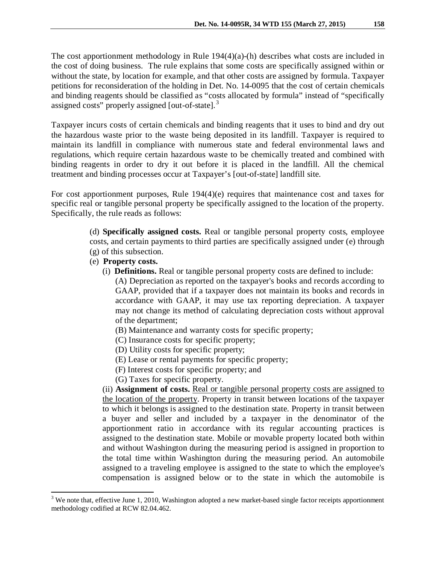The cost apportionment methodology in Rule 194(4)(a)-(h) describes what costs are included in the cost of doing business. The rule explains that some costs are specifically assigned within or without the state, by location for example, and that other costs are assigned by formula. Taxpayer petitions for reconsideration of the holding in Det. No. 14-0095 that the cost of certain chemicals and binding reagents should be classified as "costs allocated by formula" instead of "specifically assigned costs" properly assigned [out-of-state].<sup>[3](#page-3-0)</sup>

Taxpayer incurs costs of certain chemicals and binding reagents that it uses to bind and dry out the hazardous waste prior to the waste being deposited in its landfill. Taxpayer is required to maintain its landfill in compliance with numerous state and federal environmental laws and regulations, which require certain hazardous waste to be chemically treated and combined with binding reagents in order to dry it out before it is placed in the landfill. All the chemical treatment and binding processes occur at Taxpayer's [out-of-state] landfill site.

For cost apportionment purposes, Rule 194(4)(e) requires that maintenance cost and taxes for specific real or tangible personal property be specifically assigned to the location of the property. Specifically, the rule reads as follows:

> (d) **Specifically assigned costs.** Real or tangible personal property costs, employee costs, and certain payments to third parties are specifically assigned under (e) through (g) of this subsection.

(e) **Property costs.**

 $\overline{a}$ 

(i) **Definitions.** Real or tangible personal property costs are defined to include:

(A) Depreciation as reported on the taxpayer's books and records according to GAAP, provided that if a taxpayer does not maintain its books and records in accordance with GAAP, it may use tax reporting depreciation. A taxpayer may not change its method of calculating depreciation costs without approval of the department;

- (B) Maintenance and warranty costs for specific property;
- (C) Insurance costs for specific property;
- (D) Utility costs for specific property;
- (E) Lease or rental payments for specific property;
- (F) Interest costs for specific property; and
- (G) Taxes for specific property.

(ii) **Assignment of costs.** Real or tangible personal property costs are assigned to the location of the property. Property in transit between locations of the taxpayer to which it belongs is assigned to the destination state. Property in transit between a buyer and seller and included by a taxpayer in the denominator of the apportionment ratio in accordance with its regular accounting practices is assigned to the destination state. Mobile or movable property located both within and without Washington during the measuring period is assigned in proportion to the total time within Washington during the measuring period. An automobile assigned to a traveling employee is assigned to the state to which the employee's compensation is assigned below or to the state in which the automobile is

<span id="page-3-0"></span> $3$  We note that, effective June 1, 2010, Washington adopted a new market-based single factor receipts apportionment methodology codified at RCW 82.04.462.